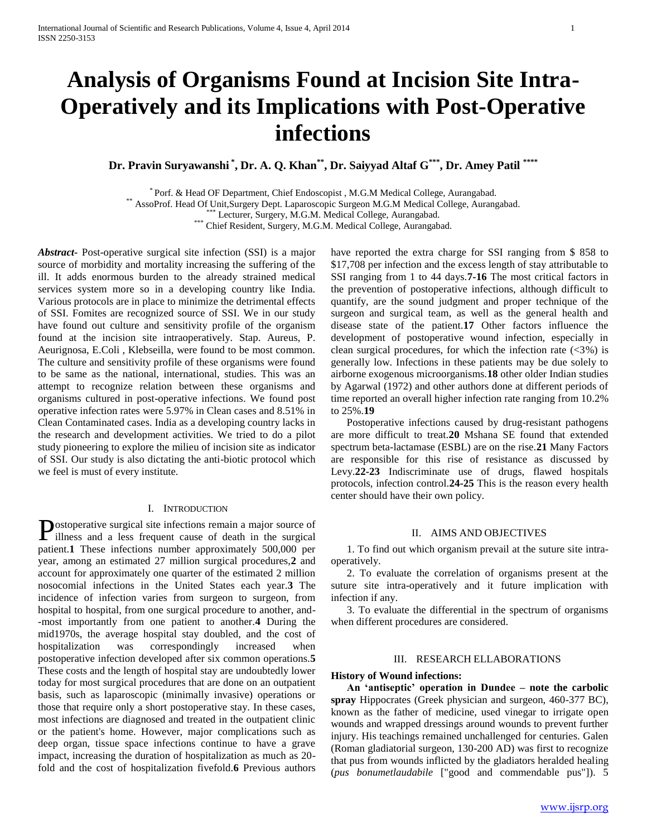# **Analysis of Organisms Found at Incision Site Intra-Operatively and its Implications with Post-Operative infections**

**Dr. Pravin Suryawanshi \* , Dr. A. Q. Khan\*\* , Dr. Saiyyad Altaf G\*\*\* , Dr. Amey Patil \*\*\*\***

\* Porf. & Head OF Department, Chief Endoscopist , M.G.M Medical College, Aurangabad.

\*\* AssoProf. Head Of Unit,Surgery Dept. Laparoscopic Surgeon M.G.M Medical College, Aurangabad.

\*\*\* Lecturer, Surgery, M.G.M. Medical College, Aurangabad.

\*\*\* Chief Resident, Surgery, M.G.M. Medical College, Aurangabad.

*Abstract***-** Post-operative surgical site infection (SSI) is a major source of morbidity and mortality increasing the suffering of the ill. It adds enormous burden to the already strained medical services system more so in a developing country like India. Various protocols are in place to minimize the detrimental effects of SSI. Fomites are recognized source of SSI. We in our study have found out culture and sensitivity profile of the organism found at the incision site intraoperatively. Stap. Aureus, P. Aeurignosa, E.Coli , Klebseilla, were found to be most common. The culture and sensitivity profile of these organisms were found to be same as the national, international, studies. This was an attempt to recognize relation between these organisms and organisms cultured in post-operative infections. We found post operative infection rates were 5.97% in Clean cases and 8.51% in Clean Contaminated cases. India as a developing country lacks in the research and development activities. We tried to do a pilot study pioneering to explore the milieu of incision site as indicator of SSI. Our study is also dictating the anti-biotic protocol which we feel is must of every institute.

#### I. INTRODUCTION

ostoperative surgical site infections remain a major source of Postoperative surgical site infections remain a major source of illness and a less frequent cause of death in the surgical patient.**1** These infections number approximately 500,000 per year, among an estimated 27 million surgical procedures,**2** and account for approximately one quarter of the estimated 2 million nosocomial infections in the United States each year.**3** The incidence of infection varies from surgeon to surgeon, from hospital to hospital, from one surgical procedure to another, and- -most importantly from one patient to another.**4** During the mid1970s, the average hospital stay doubled, and the cost of hospitalization was correspondingly increased when postoperative infection developed after six common operations.**5**  These costs and the length of hospital stay are undoubtedly lower today for most surgical procedures that are done on an outpatient basis, such as laparoscopic (minimally invasive) operations or those that require only a short postoperative stay. In these cases, most infections are diagnosed and treated in the outpatient clinic or the patient's home. However, major complications such as deep organ, tissue space infections continue to have a grave impact, increasing the duration of hospitalization as much as 20 fold and the cost of hospitalization fivefold.**6** Previous authors

have reported the extra charge for SSI ranging from \$ 858 to \$17,708 per infection and the excess length of stay attributable to SSI ranging from 1 to 44 days.**7-16** The most critical factors in the prevention of postoperative infections, although difficult to quantify, are the sound judgment and proper technique of the surgeon and surgical team, as well as the general health and disease state of the patient.**17** Other factors influence the development of postoperative wound infection, especially in clean surgical procedures, for which the infection rate  $(\leq 3\%)$  is generally low. Infections in these patients may be due solely to airborne exogenous microorganisms.**18** other older Indian studies by Agarwal (1972) and other authors done at different periods of time reported an overall higher infection rate ranging from 10.2% to 25%.**19**

 Postoperative infections caused by drug-resistant pathogens are more difficult to treat.**20** Mshana SE found that extended spectrum beta-lactamase (ESBL) are on the rise.**21** Many Factors are responsible for this rise of resistance as discussed by Levy.**22-23** Indiscriminate use of drugs, flawed hospitals protocols, infection control.**24-25** This is the reason every health center should have their own policy.

#### II. AIMS AND OBJECTIVES

 1. To find out which organism prevail at the suture site intraoperatively.

 2. To evaluate the correlation of organisms present at the suture site intra-operatively and it future implication with infection if any.

 3. To evaluate the differential in the spectrum of organisms when different procedures are considered.

#### III. RESEARCH ELLABORATIONS

#### **History of Wound infections:**

 **An 'antiseptic' operation in Dundee – note the carbolic spray** Hippocrates (Greek physician and surgeon, 460-377 BC), known as the father of medicine, used vinegar to irrigate open wounds and wrapped dressings around wounds to prevent further injury. His teachings remained unchallenged for centuries. Galen (Roman gladiatorial surgeon, 130-200 AD) was first to recognize that pus from wounds inflicted by the gladiators heralded healing (*pus bonumetlaudabile* ["good and commendable pus"]). 5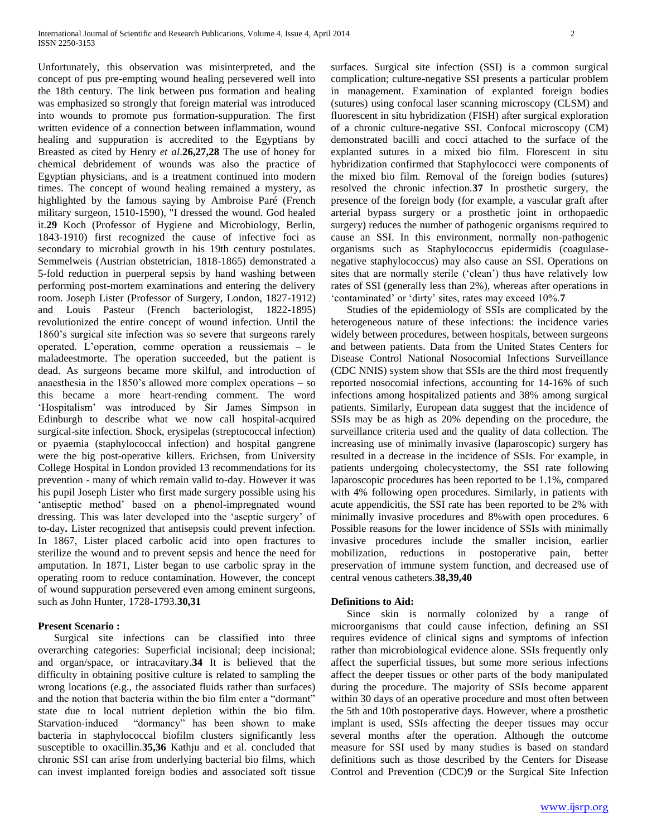Unfortunately, this observation was misinterpreted, and the concept of pus pre-empting wound healing persevered well into the 18th century. The link between pus formation and healing was emphasized so strongly that foreign material was introduced into wounds to promote pus formation-suppuration. The first written evidence of a connection between inflammation, wound healing and suppuration is accredited to the Egyptians by Breasted as cited by Henry *et al*.**26,27,28** The use of honey for chemical debridement of wounds was also the practice of Egyptian physicians, and is a treatment continued into modern times. The concept of wound healing remained a mystery, as highlighted by the famous saying by Ambroise Paré (French military surgeon, 1510-1590), "I dressed the wound. God healed it.**29** Koch (Professor of Hygiene and Microbiology, Berlin, 1843-1910) first recognized the cause of infective foci as secondary to microbial growth in his 19th century postulates. Semmelweis (Austrian obstetrician, 1818-1865) demonstrated a 5-fold reduction in puerperal sepsis by hand washing between performing post-mortem examinations and entering the delivery room. Joseph Lister (Professor of Surgery, London, 1827-1912) and Louis Pasteur (French bacteriologist, 1822-1895) revolutionized the entire concept of wound infection. Until the 1860's surgical site infection was so severe that surgeons rarely operated. L'operation, comme operation a reussiemais – le maladeestmorte. The operation succeeded, but the patient is dead. As surgeons became more skilful, and introduction of anaesthesia in the 1850's allowed more complex operations – so this became a more heart-rending comment. The word 'Hospitalism' was introduced by Sir James Simpson in Edinburgh to describe what we now call hospital-acquired surgical-site infection. Shock, erysipelas (streptococcal infection) or pyaemia (staphylococcal infection) and hospital gangrene were the big post-operative killers. Erichsen, from University College Hospital in London provided 13 recommendations for its prevention - many of which remain valid to-day. However it was his pupil Joseph Lister who first made surgery possible using his 'antiseptic method' based on a phenol-impregnated wound dressing. This was later developed into the 'aseptic surgery' of to-day**.** Lister recognized that antisepsis could prevent infection. In 1867, Lister placed carbolic acid into open fractures to sterilize the wound and to prevent sepsis and hence the need for amputation. In 1871, Lister began to use carbolic spray in the operating room to reduce contamination. However, the concept of wound suppuration persevered even among eminent surgeons, such as John Hunter, 1728-1793.**30,31**

#### **Present Scenario :**

 Surgical site infections can be classified into three overarching categories: Superficial incisional; deep incisional; and organ/space, or intracavitary.**34** It is believed that the difficulty in obtaining positive culture is related to sampling the wrong locations (e.g., the associated fluids rather than surfaces) and the notion that bacteria within the bio film enter a "dormant" state due to local nutrient depletion within the bio film. Starvation-induced "dormancy" has been shown to make bacteria in staphylococcal biofilm clusters significantly less susceptible to oxacillin.**35,36** Kathju and et al. concluded that chronic SSI can arise from underlying bacterial bio films, which can invest implanted foreign bodies and associated soft tissue surfaces. Surgical site infection (SSI) is a common surgical complication; culture-negative SSI presents a particular problem in management. Examination of explanted foreign bodies (sutures) using confocal laser scanning microscopy (CLSM) and fluorescent in situ hybridization (FISH) after surgical exploration of a chronic culture-negative SSI. Confocal microscopy (CM) demonstrated bacilli and cocci attached to the surface of the explanted sutures in a mixed bio film. Florescent in situ hybridization confirmed that Staphylococci were components of the mixed bio film. Removal of the foreign bodies (sutures) resolved the chronic infection.**37** In prosthetic surgery, the presence of the foreign body (for example, a vascular graft after arterial bypass surgery or a prosthetic joint in orthopaedic surgery) reduces the number of pathogenic organisms required to cause an SSI. In this environment, normally non-pathogenic organisms such as Staphylococcus epidermidis (coagulasenegative staphylococcus) may also cause an SSI. Operations on sites that are normally sterile ('clean') thus have relatively low rates of SSI (generally less than 2%), whereas after operations in 'contaminated' or 'dirty' sites, rates may exceed 10%.**7** 

 Studies of the epidemiology of SSIs are complicated by the heterogeneous nature of these infections: the incidence varies widely between procedures, between hospitals, between surgeons and between patients. Data from the United States Centers for Disease Control National Nosocomial Infections Surveillance (CDC NNIS) system show that SSIs are the third most frequently reported nosocomial infections, accounting for 14-16% of such infections among hospitalized patients and 38% among surgical patients. Similarly, European data suggest that the incidence of SSIs may be as high as 20% depending on the procedure, the surveillance criteria used and the quality of data collection. The increasing use of minimally invasive (laparoscopic) surgery has resulted in a decrease in the incidence of SSIs. For example, in patients undergoing cholecystectomy, the SSI rate following laparoscopic procedures has been reported to be 1.1%, compared with 4% following open procedures. Similarly, in patients with acute appendicitis, the SSI rate has been reported to be 2% with minimally invasive procedures and 8%with open procedures. 6 Possible reasons for the lower incidence of SSIs with minimally invasive procedures include the smaller incision, earlier mobilization, reductions in postoperative pain, better preservation of immune system function, and decreased use of central venous catheters.**38,39,40**

#### **Definitions to Aid:**

 Since skin is normally colonized by a range of microorganisms that could cause infection, defining an SSI requires evidence of clinical signs and symptoms of infection rather than microbiological evidence alone. SSIs frequently only affect the superficial tissues, but some more serious infections affect the deeper tissues or other parts of the body manipulated during the procedure. The majority of SSIs become apparent within 30 days of an operative procedure and most often between the 5th and 10th postoperative days. However, where a prosthetic implant is used, SSIs affecting the deeper tissues may occur several months after the operation. Although the outcome measure for SSI used by many studies is based on standard definitions such as those described by the Centers for Disease Control and Prevention (CDC)**9** or the Surgical Site Infection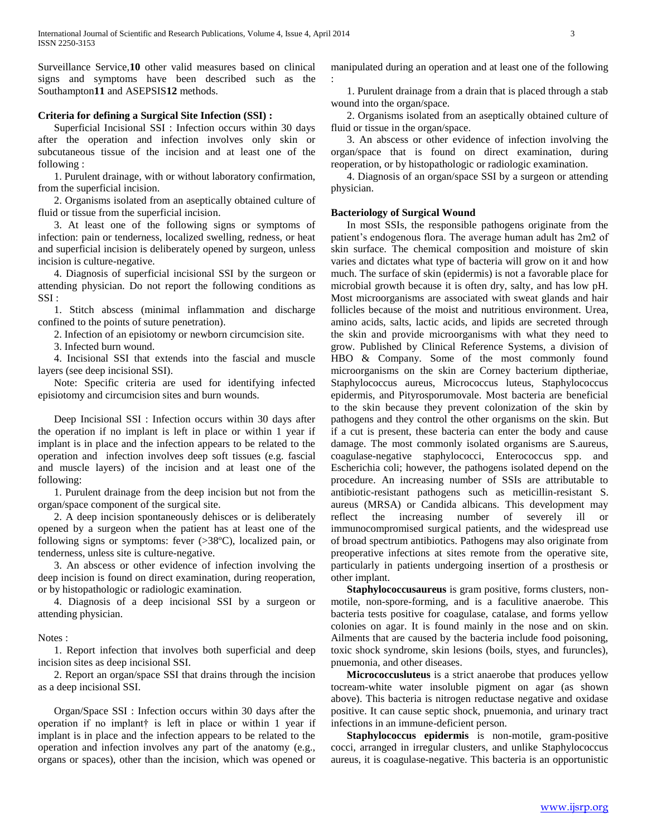Surveillance Service,**10** other valid measures based on clinical signs and symptoms have been described such as the Southampton**11** and ASEPSIS**12** methods.

#### **Criteria for defining a Surgical Site Infection (SSI) :**

 Superficial Incisional SSI : Infection occurs within 30 days after the operation and infection involves only skin or subcutaneous tissue of the incision and at least one of the following :

 1. Purulent drainage, with or without laboratory confirmation, from the superficial incision.

 2. Organisms isolated from an aseptically obtained culture of fluid or tissue from the superficial incision.

 3. At least one of the following signs or symptoms of infection: pain or tenderness, localized swelling, redness, or heat and superficial incision is deliberately opened by surgeon, unless incision is culture-negative.

 4. Diagnosis of superficial incisional SSI by the surgeon or attending physician. Do not report the following conditions as SSI :

 1. Stitch abscess (minimal inflammation and discharge confined to the points of suture penetration).

2. Infection of an episiotomy or newborn circumcision site.

3. Infected burn wound.

 4. Incisional SSI that extends into the fascial and muscle layers (see deep incisional SSI).

 Note: Specific criteria are used for identifying infected episiotomy and circumcision sites and burn wounds.

 Deep Incisional SSI : Infection occurs within 30 days after the operation if no implant is left in place or within 1 year if implant is in place and the infection appears to be related to the operation and infection involves deep soft tissues (e.g. fascial and muscle layers) of the incision and at least one of the following:

 1. Purulent drainage from the deep incision but not from the organ/space component of the surgical site.

 2. A deep incision spontaneously dehisces or is deliberately opened by a surgeon when the patient has at least one of the following signs or symptoms: fever (>38ºC), localized pain, or tenderness, unless site is culture-negative.

 3. An abscess or other evidence of infection involving the deep incision is found on direct examination, during reoperation, or by histopathologic or radiologic examination.

 4. Diagnosis of a deep incisional SSI by a surgeon or attending physician.

## Notes :

 1. Report infection that involves both superficial and deep incision sites as deep incisional SSI.

 2. Report an organ/space SSI that drains through the incision as a deep incisional SSI.

 Organ/Space SSI : Infection occurs within 30 days after the operation if no implant† is left in place or within 1 year if implant is in place and the infection appears to be related to the operation and infection involves any part of the anatomy (e.g., organs or spaces), other than the incision, which was opened or

manipulated during an operation and at least one of the following :

 1. Purulent drainage from a drain that is placed through a stab wound into the organ/space.

 2. Organisms isolated from an aseptically obtained culture of fluid or tissue in the organ/space.

 3. An abscess or other evidence of infection involving the organ/space that is found on direct examination, during reoperation, or by histopathologic or radiologic examination.

 4. Diagnosis of an organ/space SSI by a surgeon or attending physician.

#### **Bacteriology of Surgical Wound**

 In most SSIs, the responsible pathogens originate from the patient's endogenous flora. The average human adult has 2m2 of skin surface. The chemical composition and moisture of skin varies and dictates what type of bacteria will grow on it and how much. The surface of skin (epidermis) is not a favorable place for microbial growth because it is often dry, salty, and has low pH. Most microorganisms are associated with sweat glands and hair follicles because of the moist and nutritious environment. Urea, amino acids, salts, lactic acids, and lipids are secreted through the skin and provide microorganisms with what they need to grow. Published by Clinical Reference Systems, a division of HBO & Company. Some of the most commonly found microorganisms on the skin are Corney bacterium diptheriae, Staphylococcus aureus, Micrococcus luteus, Staphylococcus epidermis, and Pityrosporumovale. Most bacteria are beneficial to the skin because they prevent colonization of the skin by pathogens and they control the other organisms on the skin. But if a cut is present, these bacteria can enter the body and cause damage. The most commonly isolated organisms are S.aureus, coagulase-negative staphylococci, Enterococcus spp. and Escherichia coli; however, the pathogens isolated depend on the procedure. An increasing number of SSIs are attributable to antibiotic-resistant pathogens such as meticillin-resistant S. aureus (MRSA) or Candida albicans. This development may reflect the increasing number of severely ill or immunocompromised surgical patients, and the widespread use of broad spectrum antibiotics. Pathogens may also originate from preoperative infections at sites remote from the operative site, particularly in patients undergoing insertion of a prosthesis or other implant.

 **Staphylococcusaureus** is gram positive, forms clusters, nonmotile, non-spore-forming, and is a faculitive anaerobe. This bacteria tests positive for coagulase, catalase, and forms yellow colonies on agar. It is found mainly in the nose and on skin. Ailments that are caused by the bacteria include food poisoning, toxic shock syndrome, skin lesions (boils, styes, and furuncles), pnuemonia, and other diseases.

 **Micrococcusluteus** is a strict anaerobe that produces yellow tocream-white water insoluble pigment on agar (as shown above). This bacteria is nitrogen reductase negative and oxidase positive. It can cause septic shock, pnuemonia, and urinary tract infections in an immune-deficient person.

 **Staphylococcus epidermis** is non-motile, gram-positive cocci, arranged in irregular clusters, and unlike Staphylococcus aureus, it is coagulase-negative. This bacteria is an opportunistic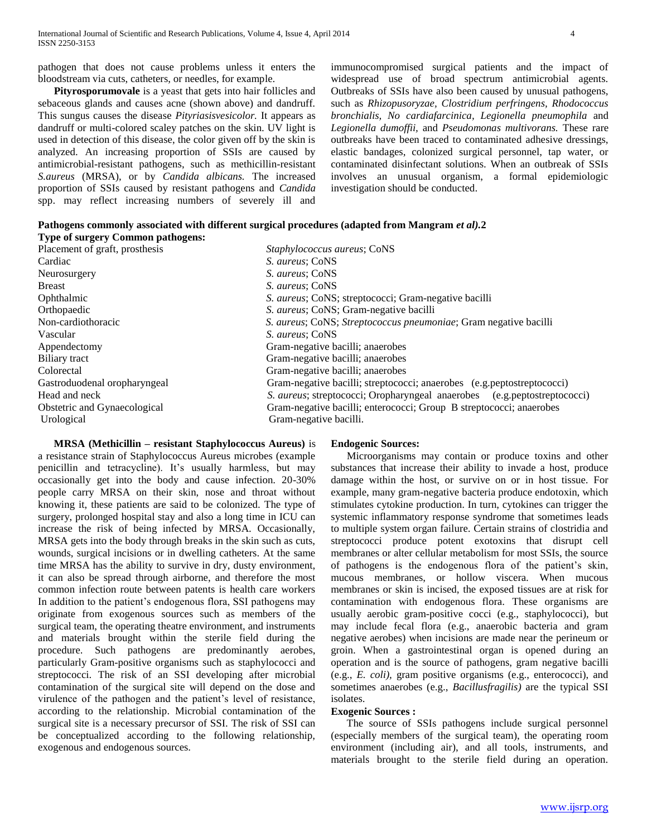pathogen that does not cause problems unless it enters the bloodstream via cuts, catheters, or needles, for example.

 **Pityrosporumovale** is a yeast that gets into hair follicles and sebaceous glands and causes acne (shown above) and dandruff. This sungus causes the disease *Pityriasisvesicolor.* It appears as dandruff or multi-colored scaley patches on the skin. UV light is used in detection of this disease, the color given off by the skin is analyzed. An increasing proportion of SSIs are caused by antimicrobial-resistant pathogens, such as methicillin-resistant *S.aureus* (MRSA), or by *Candida albicans.* The increased proportion of SSIs caused by resistant pathogens and *Candida*  spp. may reflect increasing numbers of severely ill and

immunocompromised surgical patients and the impact of widespread use of broad spectrum antimicrobial agents. Outbreaks of SSIs have also been caused by unusual pathogens, such as *Rhizopusoryzae, Clostridium perfringens, Rhodococcus bronchialis, No cardiafarcinica, Legionella pneumophila* and *Legionella dumoffii,* and *Pseudomonas multivorans.* These rare outbreaks have been traced to contaminated adhesive dressings, elastic bandages, colonized surgical personnel, tap water, or contaminated disinfectant solutions. When an outbreak of SSIs involves an unusual organism, a formal epidemiologic investigation should be conducted.

| Pathogens commonly associated with different surgical procedures (adapted from Mangram et al).2 |  |  |  |
|-------------------------------------------------------------------------------------------------|--|--|--|
| Type of surgery Common pathogens:                                                               |  |  |  |

| Placement of graft, prosthesis | Staphylococcus aureus; CoNS                                              |
|--------------------------------|--------------------------------------------------------------------------|
| Cardiac                        | S. aureus; CoNS                                                          |
| Neurosurgery                   | <i>S. aureus</i> ; CoNS                                                  |
| <b>Breast</b>                  | S. aureus; CoNS                                                          |
| Ophthalmic                     | <i>S. aureus</i> ; CoNS; streptococci; Gram-negative bacilli             |
| Orthopaedic                    | S. aureus; CoNS; Gram-negative bacilli                                   |
| Non-cardiothoracic             | S. aureus; CoNS; Streptococcus pneumoniae; Gram negative bacilli         |
| Vascular                       | S. aureus; CoNS                                                          |
| Appendectomy                   | Gram-negative bacilli; anaerobes                                         |
| Biliary tract                  | Gram-negative bacilli; anaerobes                                         |
| Colorectal                     | Gram-negative bacilli; anaerobes                                         |
| Gastroduodenal oropharyngeal   | Gram-negative bacilli; streptococci; anaerobes (e.g.peptostreptococci)   |
| Head and neck                  | S. aureus; streptococci; Oropharyngeal anaerobes (e.g.peptostreptococci) |
| Obstetric and Gynaecological   | Gram-negative bacilli; enterococci; Group B streptococci; anaerobes      |
| Urological                     | Gram-negative bacilli.                                                   |
|                                |                                                                          |

 **MRSA (Methicillin – resistant Staphylococcus Aureus)** is a resistance strain of Staphylococcus Aureus microbes (example penicillin and tetracycline). It's usually harmless, but may occasionally get into the body and cause infection. 20-30% people carry MRSA on their skin, nose and throat without knowing it, these patients are said to be colonized. The type of surgery, prolonged hospital stay and also a long time in ICU can increase the risk of being infected by MRSA. Occasionally, MRSA gets into the body through breaks in the skin such as cuts, wounds, surgical incisions or in dwelling catheters. At the same time MRSA has the ability to survive in dry, dusty environment, it can also be spread through airborne, and therefore the most common infection route between patents is health care workers In addition to the patient's endogenous flora, SSI pathogens may originate from exogenous sources such as members of the surgical team, the operating theatre environment, and instruments and materials brought within the sterile field during the procedure. Such pathogens are predominantly aerobes, particularly Gram-positive organisms such as staphylococci and streptococci. The risk of an SSI developing after microbial contamination of the surgical site will depend on the dose and virulence of the pathogen and the patient's level of resistance, according to the relationship. Microbial contamination of the surgical site is a necessary precursor of SSI. The risk of SSI can be conceptualized according to the following relationship, exogenous and endogenous sources.

## **Endogenic Sources:**

 Microorganisms may contain or produce toxins and other substances that increase their ability to invade a host, produce damage within the host, or survive on or in host tissue. For example, many gram-negative bacteria produce endotoxin, which stimulates cytokine production. In turn, cytokines can trigger the systemic inflammatory response syndrome that sometimes leads to multiple system organ failure. Certain strains of clostridia and streptococci produce potent exotoxins that disrupt cell membranes or alter cellular metabolism for most SSIs, the source of pathogens is the endogenous flora of the patient's skin, mucous membranes, or hollow viscera. When mucous membranes or skin is incised, the exposed tissues are at risk for contamination with endogenous flora. These organisms are usually aerobic gram-positive cocci (e.g., staphylococci), but may include fecal flora (e.g., anaerobic bacteria and gram negative aerobes) when incisions are made near the perineum or groin. When a gastrointestinal organ is opened during an operation and is the source of pathogens, gram negative bacilli (e.g., *E. coli),* gram positive organisms (e.g., enterococci), and sometimes anaerobes (e.g., *Bacillusfragilis)* are the typical SSI isolates.

#### **Exogenic Sources :**

 The source of SSIs pathogens include surgical personnel (especially members of the surgical team), the operating room environment (including air), and all tools, instruments, and materials brought to the sterile field during an operation.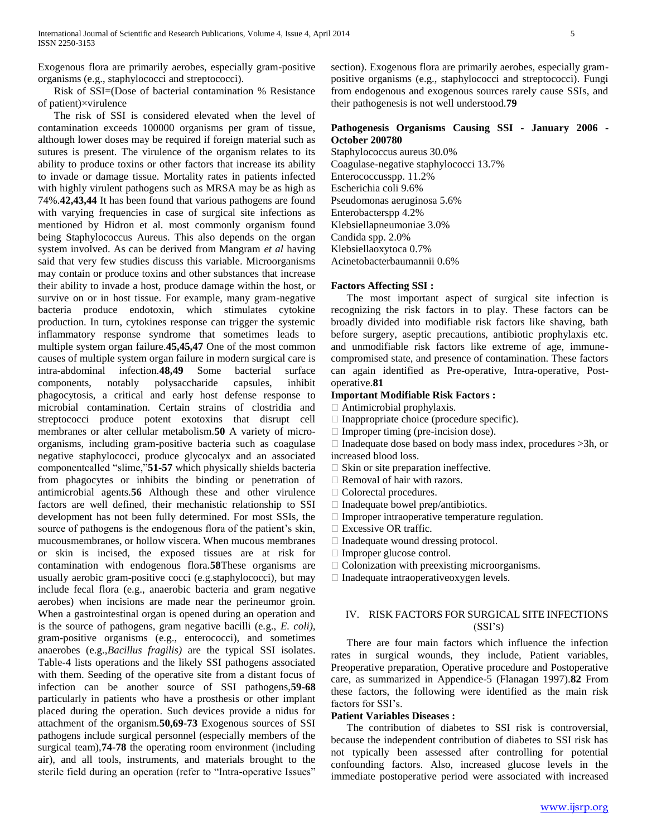Exogenous flora are primarily aerobes, especially gram-positive organisms (e.g., staphylococci and streptococci).

 Risk of SSI=(Dose of bacterial contamination % Resistance of patient)×virulence

 The risk of SSI is considered elevated when the level of contamination exceeds 100000 organisms per gram of tissue, although lower doses may be required if foreign material such as sutures is present. The virulence of the organism relates to its ability to produce toxins or other factors that increase its ability to invade or damage tissue. Mortality rates in patients infected with highly virulent pathogens such as MRSA may be as high as 74%.**42,43,44** It has been found that various pathogens are found with varying frequencies in case of surgical site infections as mentioned by Hidron et al. most commonly organism found being Staphylococcus Aureus. This also depends on the organ system involved. As can be derived from Mangram *et al* having said that very few studies discuss this variable. Microorganisms may contain or produce toxins and other substances that increase their ability to invade a host, produce damage within the host, or survive on or in host tissue. For example, many gram-negative bacteria produce endotoxin, which stimulates cytokine production. In turn, cytokines response can trigger the systemic inflammatory response syndrome that sometimes leads to multiple system organ failure.**45,45,47** One of the most common causes of multiple system organ failure in modern surgical care is intra-abdominal infection.**48,49** Some bacterial surface components, notably polysaccharide capsules, inhibit phagocytosis, a critical and early host defense response to microbial contamination. Certain strains of clostridia and streptococci produce potent exotoxins that disrupt cell membranes or alter cellular metabolism.**50** A variety of microorganisms, including gram-positive bacteria such as coagulase negative staphylococci, produce glycocalyx and an associated componentcalled "slime,"**51-57** which physically shields bacteria from phagocytes or inhibits the binding or penetration of antimicrobial agents.**56** Although these and other virulence factors are well defined, their mechanistic relationship to SSI development has not been fully determined. For most SSIs, the source of pathogens is the endogenous flora of the patient's skin, mucousmembranes, or hollow viscera. When mucous membranes or skin is incised, the exposed tissues are at risk for contamination with endogenous flora.**58**These organisms are usually aerobic gram-positive cocci (e.g.staphylococci), but may include fecal flora (e.g., anaerobic bacteria and gram negative aerobes) when incisions are made near the perineumor groin. When a gastrointestinal organ is opened during an operation and is the source of pathogens, gram negative bacilli (e.g., *E. coli),*  gram-positive organisms (e.g., enterococci), and sometimes anaerobes (e.g.,*Bacillus fragilis)* are the typical SSI isolates. Table-4 lists operations and the likely SSI pathogens associated with them. Seeding of the operative site from a distant focus of infection can be another source of SSI pathogens,**59-68**  particularly in patients who have a prosthesis or other implant placed during the operation. Such devices provide a nidus for attachment of the organism.**50,69-73** Exogenous sources of SSI pathogens include surgical personnel (especially members of the surgical team),**74-78** the operating room environment (including air), and all tools, instruments, and materials brought to the sterile field during an operation (refer to "Intra-operative Issues"

section). Exogenous flora are primarily aerobes, especially grampositive organisms (e.g., staphylococci and streptococci). Fungi from endogenous and exogenous sources rarely cause SSIs, and their pathogenesis is not well understood.**79**

#### **Pathogenesis Organisms Causing SSI - January 2006 - October 200780**

Staphylococcus aureus 30.0% Coagulase-negative staphylococci 13.7% Enterococcusspp. 11.2% Escherichia coli 9.6% Pseudomonas aeruginosa 5.6% Enterobacterspp 4.2% Klebsiellapneumoniae 3.0% Candida spp. 2.0% Klebsiellaoxytoca 0.7% Acinetobacterbaumannii 0.6%

## **Factors Affecting SSI :**

 The most important aspect of surgical site infection is recognizing the risk factors in to play. These factors can be broadly divided into modifiable risk factors like shaving, bath before surgery, aseptic precautions, antibiotic prophylaxis etc. and unmodifiable risk factors like extreme of age, immunecompromised state, and presence of contamination. These factors can again identified as Pre-operative, Intra-operative, Postoperative.**81**

#### **Important Modifiable Risk Factors :**

Antimicrobial prophylaxis.

- $\Box$  Inappropriate choice (procedure specific).
- $\Box$  Improper timing (pre-incision dose).

 $\Box$  Inadequate dose based on body mass index, procedures  $>3h$ , or increased blood loss.

- $\Box$  Skin or site preparation ineffective.
- $\Box$  Removal of hair with razors.
- Colorectal procedures.
- $\Box$  Inadequate bowel prep/antibiotics.
- $\Box$  Improper intraoperative temperature regulation.
- □ Excessive OR traffic.
- $\Box$  Inadequate wound dressing protocol.
- □ Improper glucose control.
- $\Box$  Colonization with preexisting microorganisms.
- $\Box$  Inadequate intraoperative oxygen levels.

## IV. RISK FACTORS FOR SURGICAL SITE INFECTIONS (SSI'S)

 There are four main factors which influence the infection rates in surgical wounds, they include, Patient variables, Preoperative preparation, Operative procedure and Postoperative care, as summarized in Appendice-5 (Flanagan 1997).**82** From these factors, the following were identified as the main risk factors for SSI's.

## **Patient Variables Diseases :**

 The contribution of diabetes to SSI risk is controversial, because the independent contribution of diabetes to SSI risk has not typically been assessed after controlling for potential confounding factors. Also, increased glucose levels in the immediate postoperative period were associated with increased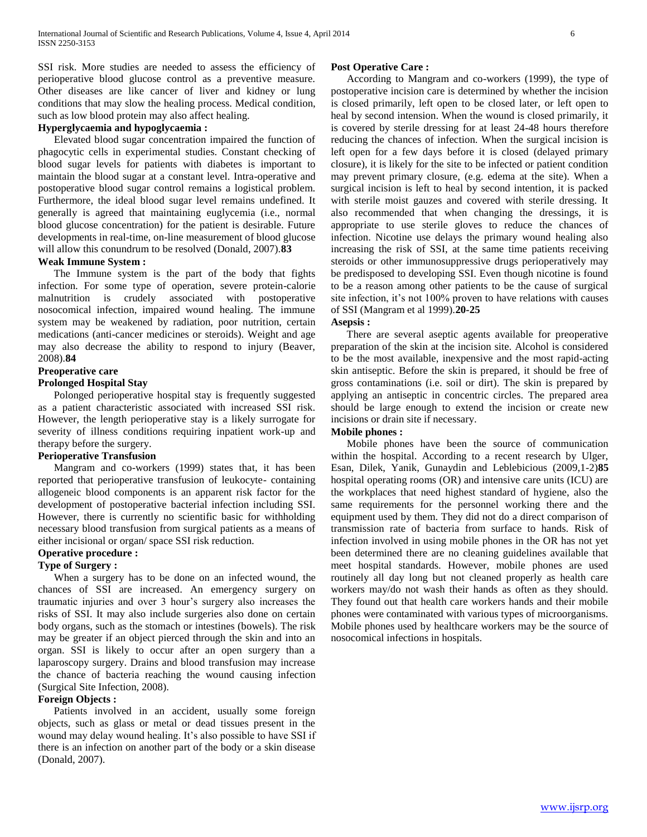SSI risk. More studies are needed to assess the efficiency of perioperative blood glucose control as a preventive measure. Other diseases are like cancer of liver and kidney or lung conditions that may slow the healing process. Medical condition, such as low blood protein may also affect healing.

## **Hyperglycaemia and hypoglycaemia :**

 Elevated blood sugar concentration impaired the function of phagocytic cells in experimental studies. Constant checking of blood sugar levels for patients with diabetes is important to maintain the blood sugar at a constant level. Intra-operative and postoperative blood sugar control remains a logistical problem. Furthermore, the ideal blood sugar level remains undefined. It generally is agreed that maintaining euglycemia (i.e., normal blood glucose concentration) for the patient is desirable. Future developments in real-time, on-line measurement of blood glucose will allow this conundrum to be resolved (Donald, 2007).**83**

## **Weak Immune System :**

 The Immune system is the part of the body that fights infection. For some type of operation, severe protein-calorie malnutrition is crudely associated with postoperative nosocomical infection, impaired wound healing. The immune system may be weakened by radiation, poor nutrition, certain medications (anti-cancer medicines or steroids). Weight and age may also decrease the ability to respond to injury (Beaver, 2008).**84**

## **Preoperative care**

#### **Prolonged Hospital Stay**

 Polonged perioperative hospital stay is frequently suggested as a patient characteristic associated with increased SSI risk. However, the length perioperative stay is a likely surrogate for severity of illness conditions requiring inpatient work-up and therapy before the surgery.

## **Perioperative Transfusion**

 Mangram and co-workers (1999) states that, it has been reported that perioperative transfusion of leukocyte- containing allogeneic blood components is an apparent risk factor for the development of postoperative bacterial infection including SSI. However, there is currently no scientific basic for withholding necessary blood transfusion from surgical patients as a means of either incisional or organ/ space SSI risk reduction.

#### **Operative procedure :**

## **Type of Surgery :**

 When a surgery has to be done on an infected wound, the chances of SSI are increased. An emergency surgery on traumatic injuries and over 3 hour's surgery also increases the risks of SSI. It may also include surgeries also done on certain body organs, such as the stomach or intestines (bowels). The risk may be greater if an object pierced through the skin and into an organ. SSI is likely to occur after an open surgery than a laparoscopy surgery. Drains and blood transfusion may increase the chance of bacteria reaching the wound causing infection (Surgical Site Infection, 2008).

## **Foreign Objects :**

 Patients involved in an accident, usually some foreign objects, such as glass or metal or dead tissues present in the wound may delay wound healing. It's also possible to have SSI if there is an infection on another part of the body or a skin disease (Donald, 2007).

#### **Post Operative Care :**

 According to Mangram and co-workers (1999), the type of postoperative incision care is determined by whether the incision is closed primarily, left open to be closed later, or left open to heal by second intension. When the wound is closed primarily, it is covered by sterile dressing for at least 24-48 hours therefore reducing the chances of infection. When the surgical incision is left open for a few days before it is closed (delayed primary closure), it is likely for the site to be infected or patient condition may prevent primary closure, (e.g. edema at the site). When a surgical incision is left to heal by second intention, it is packed with sterile moist gauzes and covered with sterile dressing. It also recommended that when changing the dressings, it is appropriate to use sterile gloves to reduce the chances of infection. Nicotine use delays the primary wound healing also increasing the risk of SSI, at the same time patients receiving steroids or other immunosuppressive drugs perioperatively may be predisposed to developing SSI. Even though nicotine is found to be a reason among other patients to be the cause of surgical site infection, it's not 100% proven to have relations with causes of SSI (Mangram et al 1999).**20-25**

## **Asepsis :**

 There are several aseptic agents available for preoperative preparation of the skin at the incision site. Alcohol is considered to be the most available, inexpensive and the most rapid-acting skin antiseptic. Before the skin is prepared, it should be free of gross contaminations (i.e. soil or dirt). The skin is prepared by applying an antiseptic in concentric circles. The prepared area should be large enough to extend the incision or create new incisions or drain site if necessary.

## **Mobile phones :**

 Mobile phones have been the source of communication within the hospital. According to a recent research by Ulger, Esan, Dilek, Yanik, Gunaydin and Leblebicious (2009,1-2)**85**  hospital operating rooms (OR) and intensive care units (ICU) are the workplaces that need highest standard of hygiene, also the same requirements for the personnel working there and the equipment used by them. They did not do a direct comparison of transmission rate of bacteria from surface to hands. Risk of infection involved in using mobile phones in the OR has not yet been determined there are no cleaning guidelines available that meet hospital standards. However, mobile phones are used routinely all day long but not cleaned properly as health care workers may/do not wash their hands as often as they should. They found out that health care workers hands and their mobile phones were contaminated with various types of microorganisms. Mobile phones used by healthcare workers may be the source of nosocomical infections in hospitals.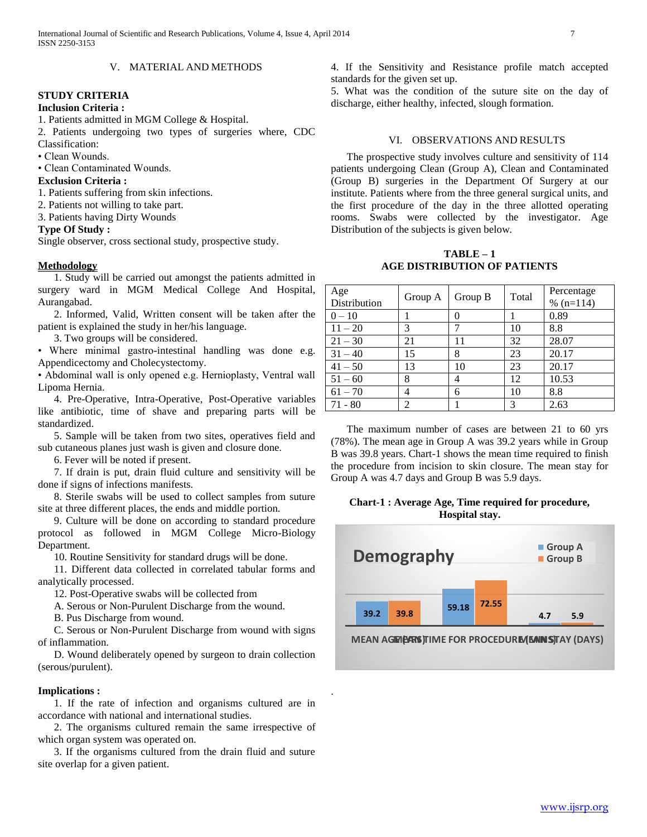## **STUDY CRITERIA**

#### **Inclusion Criteria :**

1. Patients admitted in MGM College & Hospital.

2. Patients undergoing two types of surgeries where, CDC Classification:

• Clean Wounds.

• Clean Contaminated Wounds.

#### **Exclusion Criteria :**

1. Patients suffering from skin infections.

2. Patients not willing to take part.

3. Patients having Dirty Wounds

#### **Type Of Study :**

Single observer, cross sectional study, prospective study.

#### **Methodology**

 1. Study will be carried out amongst the patients admitted in surgery ward in MGM Medical College And Hospital, Aurangabad.

 2. Informed, Valid, Written consent will be taken after the patient is explained the study in her/his language.

3. Two groups will be considered.

• Where minimal gastro-intestinal handling was done e.g. Appendicectomy and Cholecystectomy.

• Abdominal wall is only opened e.g. Hernioplasty, Ventral wall Lipoma Hernia.

 4. Pre-Operative, Intra-Operative, Post-Operative variables like antibiotic, time of shave and preparing parts will be standardized.

 5. Sample will be taken from two sites, operatives field and sub cutaneous planes just wash is given and closure done.

6. Fever will be noted if present.

 7. If drain is put, drain fluid culture and sensitivity will be done if signs of infections manifests.

 8. Sterile swabs will be used to collect samples from suture site at three different places, the ends and middle portion.

 9. Culture will be done on according to standard procedure protocol as followed in MGM College Micro-Biology Department.

10. Routine Sensitivity for standard drugs will be done.

 11. Different data collected in correlated tabular forms and analytically processed.

12. Post-Operative swabs will be collected from

A. Serous or Non-Purulent Discharge from the wound.

B. Pus Discharge from wound.

 C. Serous or Non-Purulent Discharge from wound with signs of inflammation.

 D. Wound deliberately opened by surgeon to drain collection (serous/purulent).

#### **Implications :**

 1. If the rate of infection and organisms cultured are in accordance with national and international studies.

 2. The organisms cultured remain the same irrespective of which organ system was operated on.

 3. If the organisms cultured from the drain fluid and suture site overlap for a given patient.

4. If the Sensitivity and Resistance profile match accepted standards for the given set up.

5. What was the condition of the suture site on the day of discharge, either healthy, infected, slough formation.

## VI. OBSERVATIONS AND RESULTS

 The prospective study involves culture and sensitivity of 114 patients undergoing Clean (Group A), Clean and Contaminated (Group B) surgeries in the Department Of Surgery at our institute. Patients where from the three general surgical units, and the first procedure of the day in the three allotted operating rooms. Swabs were collected by the investigator. Age Distribution of the subjects is given below.

**TABLE – 1 AGE DISTRIBUTION OF PATIENTS**

| Age<br>Distribution | Group A        | Group B | Total | Percentage<br>$% (n=114)$ |
|---------------------|----------------|---------|-------|---------------------------|
| $0 - 10$            |                |         |       | 0.89                      |
| $11 - 20$           | 3              |         | 10    | 8.8                       |
| $21 - 30$           | 21             | 11      | 32    | 28.07                     |
| $31 - 40$           | 15             | 8       | 23    | 20.17                     |
| $41 - 50$           | 13             | 10      | 23    | 20.17                     |
| $51 - 60$           | 8              | 4       | 12    | 10.53                     |
| $61 - 70$           | 4              | 6       | 10    | 8.8                       |
| $71 - 80$           | $\mathfrak{D}$ |         | 3     | 2.63                      |

 The maximum number of cases are between 21 to 60 yrs (78%). The mean age in Group A was 39.2 years while in Group B was 39.8 years. Chart-1 shows the mean time required to finish the procedure from incision to skin closure. The mean stay for Group A was 4.7 days and Group B was 5.9 days.

**Chart-1 : Average Age, Time required for procedure, Hospital stay.**



**MEAN AGE (EARS) TIME FOR PROCEDURE (EAIN S)TAY (DAYS)** 

.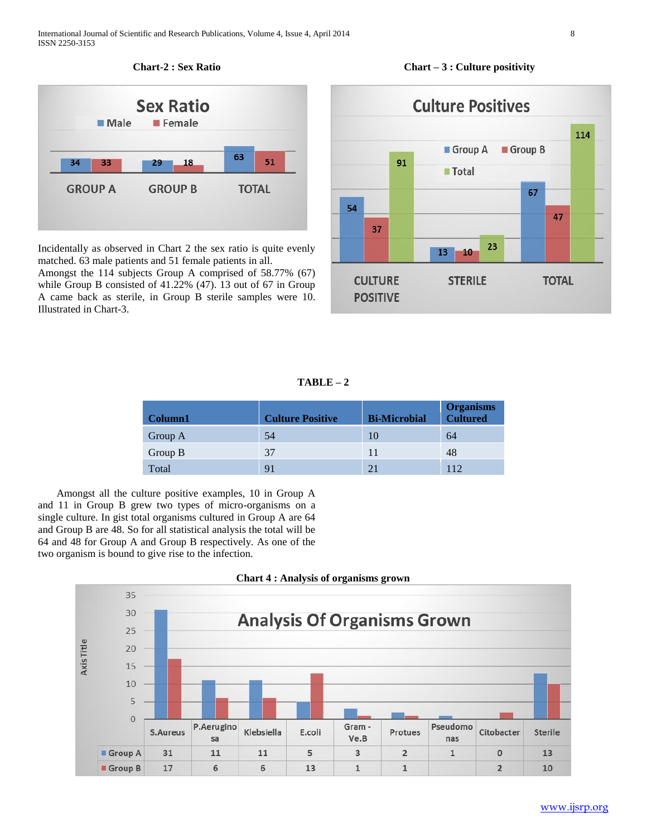

Incidentally as observed in Chart 2 the sex ratio is quite evenly matched. 63 male patients and 51 female patients in all.

Amongst the 114 subjects Group A comprised of 58.77% (67) while Group B consisted of 41.22% (47). 13 out of 67 in Group A came back as sterile, in Group B sterile samples were 10. Illustrated in Chart-3.



**TABLE – 2**

| <b>Column1</b> | <b>Culture Positive</b> | <b>Bi-Microbial</b> | <b>Organisms</b><br><b>Cultured</b> |
|----------------|-------------------------|---------------------|-------------------------------------|
| Group A        | 54                      | 10                  | 64                                  |
| Group B        | 37                      | 11                  | 48                                  |
| Total          | 91                      | 21                  | 112                                 |

 Amongst all the culture positive examples, 10 in Group A and 11 in Group B grew two types of micro-organisms on a single culture. In gist total organisms cultured in Group A are 64 and Group B are 48. So for all statistical analysis the total will be 64 and 48 for Group A and Group B respectively. As one of the two organism is bound to give rise to the infection.



## **Chart – 3 : Culture positivity**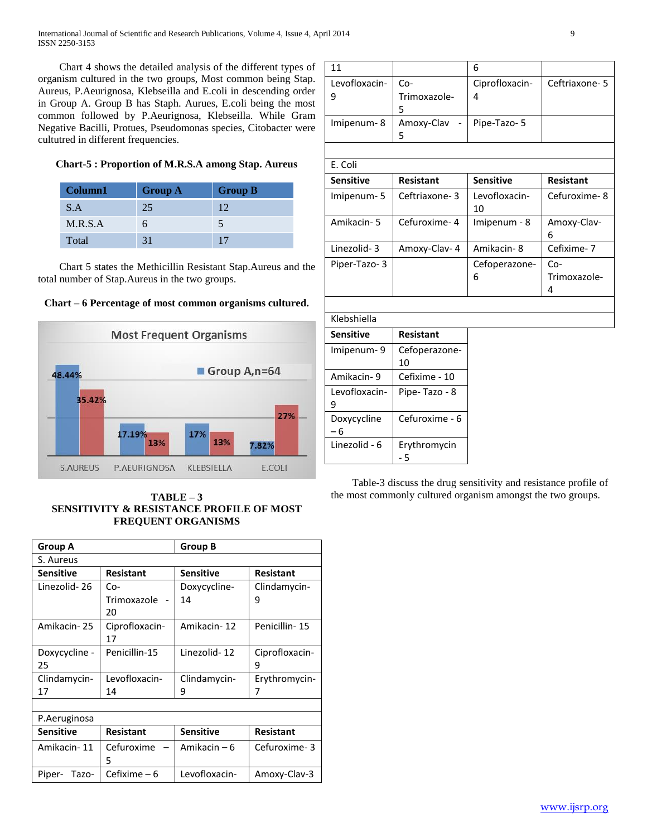International Journal of Scientific and Research Publications, Volume 4, Issue 4, April 2014 9 ISSN 2250-3153

 Chart 4 shows the detailed analysis of the different types of organism cultured in the two groups, Most common being Stap. Aureus, P.Aeurignosa, Klebseilla and E.coli in descending order in Group A. Group B has Staph. Aurues, E.coli being the most common followed by P.Aeurignosa, Klebseilla. While Gram Negative Bacilli, Protues, Pseudomonas species, Citobacter were cultutred in different frequencies.

## **Chart-5 : Proportion of M.R.S.A among Stap. Aureus**

| Column1 | <b>Group A</b> | <b>Group B</b> |
|---------|----------------|----------------|
| S.A     | 25             | 12.            |
| M.R.S.A | h              |                |
| Total   | 31             |                |

 Chart 5 states the Methicillin Resistant Stap.Aureus and the total number of Stap.Aureus in the two groups.





**TABLE – 3 SENSITIVITY & RESISTANCE PROFILE OF MOST FREQUENT ORGANISMS**

| <b>Group A</b>   |                  | <b>Group B</b>   |                  |
|------------------|------------------|------------------|------------------|
| S. Aureus        |                  |                  |                  |
| <b>Sensitive</b> | Resistant        | <b>Sensitive</b> | <b>Resistant</b> |
| Linezolid-26     | Co-              | Doxycycline-     | Clindamycin-     |
|                  | Trimoxazole      | 14               | 9                |
|                  | 20               |                  |                  |
| Amikacin-25      | Ciprofloxacin-   | Amikacin-12      | Penicillin-15    |
|                  | 17               |                  |                  |
| Doxycycline -    | Penicillin-15    | Linezolid-12     | Ciprofloxacin-   |
| 25               |                  |                  | 9                |
| Clindamycin-     | Levofloxacin-    | Clindamycin-     | Erythromycin-    |
| 17               | 14               | 9                | 7                |
|                  |                  |                  |                  |
| P.Aeruginosa     |                  |                  |                  |
| <b>Sensitive</b> | <b>Resistant</b> | <b>Sensitive</b> | <b>Resistant</b> |
| Amikacin-11      | Cefuroxime       | Amikacin – 6     | Cefuroxime-3     |
|                  | 5                |                  |                  |
| Piper-<br>Tazo-  | Cefixime – 6     | Levofloxacin-    | Amoxy-Clay-3     |

| 11                  |                          | 6                   |                          |
|---------------------|--------------------------|---------------------|--------------------------|
| Levofloxacin-<br>9  | Co-<br>Trimoxazole-<br>5 | Ciprofloxacin-<br>4 | Ceftriaxone-5            |
| Imipenum-8          | Amoxy-Clav<br>5          | Pipe-Tazo-5         |                          |
|                     |                          |                     |                          |
| E. Coli             |                          |                     |                          |
| <b>Sensitive</b>    | <b>Resistant</b>         | <b>Sensitive</b>    | <b>Resistant</b>         |
| Imipenum-5          | Ceftriaxone-3            | Levofloxacin-<br>10 | Cefuroxime-8             |
| Amikacin-5          | Cefuroxime-4             | Imipenum - 8        | Amoxy-Clav-<br>6         |
| Linezolid-3         | Amoxy-Clav- 4            | Amikacin-8          | Cefixime-7               |
| Piper-Tazo-3        |                          | Cefoperazone-<br>6  | Co-<br>Trimoxazole-<br>4 |
| Klebshiella         |                          |                     |                          |
| <b>Sensitive</b>    | <b>Resistant</b>         |                     |                          |
|                     |                          |                     |                          |
| Imipenum-9          | Cefoperazone-<br>10      |                     |                          |
| Amikacin-9          | Cefixime - 10            |                     |                          |
| Levofloxacin-<br>9  | Pipe-Tazo - 8            |                     |                          |
| Doxycycline<br>$-6$ | Cefuroxime - 6           |                     |                          |
| Linezolid - 6       | Erythromycin<br>- 5      |                     |                          |

 Table-3 discuss the drug sensitivity and resistance profile of the most commonly cultured organism amongst the two groups.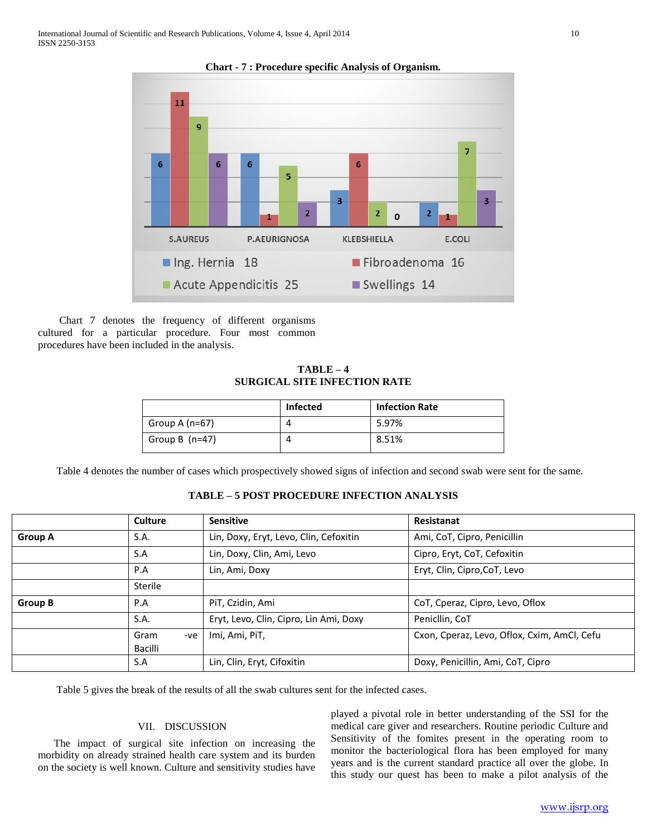

 Chart 7 denotes the frequency of different organisms cultured for a particular procedure. Four most common procedures have been included in the analysis.

**TABLE – 4 SURGICAL SITE INFECTION RATE**

|                  | <b>Infected</b> | <b>Infection Rate</b> |
|------------------|-----------------|-----------------------|
| Group A $(n=67)$ |                 | 5.97%                 |
| Group B $(n=47)$ |                 | 8.51%                 |

Table 4 denotes the number of cases which prospectively showed signs of infection and second swab were sent for the same.

|                | Culture                | <b>Sensitive</b>                       | Resistanat                                  |
|----------------|------------------------|----------------------------------------|---------------------------------------------|
| <b>Group A</b> | S.A.                   | Lin, Doxy, Eryt, Levo, Clin, Cefoxitin | Ami, CoT, Cipro, Penicillin                 |
|                | S.A                    | Lin, Doxy, Clin, Ami, Levo             | Cipro, Eryt, CoT, Cefoxitin                 |
|                | P.A                    | Lin, Ami, Doxy                         | Eryt, Clin, Cipro, CoT, Levo                |
|                | Sterile                |                                        |                                             |
| Group B        | P.A                    | PiT, Czidin, Ami                       | CoT, Cperaz, Cipro, Levo, Oflox             |
|                | S.A.                   | Eryt, Levo, Clin, Cipro, Lin Ami, Doxy | Penicllin, CoT                              |
|                | Gram<br>-ve<br>Bacilli | Imi, Ami, PiT,                         | Cxon, Cperaz, Levo, Oflox, Cxim, AmCl, Cefu |
|                | S.A                    | Lin, Clin, Eryt, Cifoxitin             | Doxy, Penicillin, Ami, CoT, Cipro           |

Table 5 gives the break of the results of all the swab cultures sent for the infected cases.

## VII. DISCUSSION

 The impact of surgical site infection on increasing the morbidity on already strained health care system and its burden on the society is well known. Culture and sensitivity studies have played a pivotal role in better understanding of the SSI for the medical care giver and researchers. Routine periodic Culture and Sensitivity of the fomites present in the operating room to monitor the bacteriological flora has been employed for many years and is the current standard practice all over the globe. In this study our quest has been to make a pilot analysis of the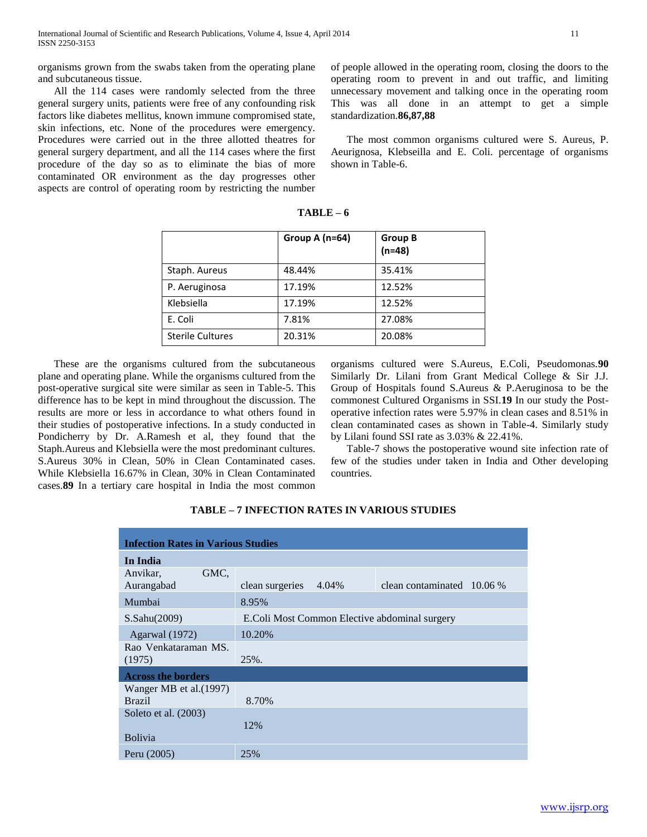organisms grown from the swabs taken from the operating plane and subcutaneous tissue.

 All the 114 cases were randomly selected from the three general surgery units, patients were free of any confounding risk factors like diabetes mellitus, known immune compromised state, skin infections, etc. None of the procedures were emergency. Procedures were carried out in the three allotted theatres for general surgery department, and all the 114 cases where the first procedure of the day so as to eliminate the bias of more contaminated OR environment as the day progresses other aspects are control of operating room by restricting the number of people allowed in the operating room, closing the doors to the operating room to prevent in and out traffic, and limiting unnecessary movement and talking once in the operating room This was all done in an attempt to get a simple standardization.**86,87,88**

 The most common organisms cultured were S. Aureus, P. Aeurignosa, Klebseilla and E. Coli. percentage of organisms shown in Table-6.

|                         | Group A $(n=64)$ | <b>Group B</b><br>$(n=48)$ |
|-------------------------|------------------|----------------------------|
| Staph. Aureus           | 48.44%           | 35.41%                     |
| P. Aeruginosa           | 17.19%           | 12.52%                     |
| Klebsiella              | 17.19%           | 12.52%                     |
| E. Coli                 | 7.81%            | 27.08%                     |
| <b>Sterile Cultures</b> | 20.31%           | 20.08%                     |

**TABLE – 6**

 These are the organisms cultured from the subcutaneous plane and operating plane. While the organisms cultured from the post-operative surgical site were similar as seen in Table-5. This difference has to be kept in mind throughout the discussion. The results are more or less in accordance to what others found in their studies of postoperative infections. In a study conducted in Pondicherry by Dr. A.Ramesh et al, they found that the Staph.Aureus and Klebsiella were the most predominant cultures. S.Aureus 30% in Clean, 50% in Clean Contaminated cases. While Klebsiella 16.67% in Clean, 30% in Clean Contaminated cases.**89** In a tertiary care hospital in India the most common

organisms cultured were S.Aureus, E.Coli, Pseudomonas.**90**  Similarly Dr. Lilani from Grant Medical College & Sir J.J. Group of Hospitals found S.Aureus & P.Aeruginosa to be the commonest Cultured Organisms in SSI.**19** In our study the Postoperative infection rates were 5.97% in clean cases and 8.51% in clean contaminated cases as shown in Table-4. Similarly study by Lilani found SSI rate as 3.03% & 22.41%.

 Table-7 shows the postoperative wound site infection rate of few of the studies under taken in India and Other developing countries.

| <b>Infection Rates in Various Studies</b> |                                                          |  |  |
|-------------------------------------------|----------------------------------------------------------|--|--|
| In India                                  |                                                          |  |  |
| GMC,<br>Anvikar,<br>Aurangabad            | 4.04%<br>clean contaminated $10.06\%$<br>clean surgeries |  |  |
| Mumbai                                    | 8.95%                                                    |  |  |
| $S.$ Sahu $(2009)$                        | E.Coli Most Common Elective abdominal surgery            |  |  |
| Agarwal (1972)                            | 10.20%                                                   |  |  |
| Rao Venkataraman MS.<br>(1975)            | 25%.                                                     |  |  |
| <b>Across the borders</b>                 |                                                          |  |  |
| Wanger MB et al. (1997)<br><b>Brazil</b>  | 8.70%                                                    |  |  |
| Soleto et al. (2003)                      | 12%                                                      |  |  |
| <b>Bolivia</b>                            |                                                          |  |  |
| Peru (2005)                               | 25%                                                      |  |  |

**TABLE – 7 INFECTION RATES IN VARIOUS STUDIES**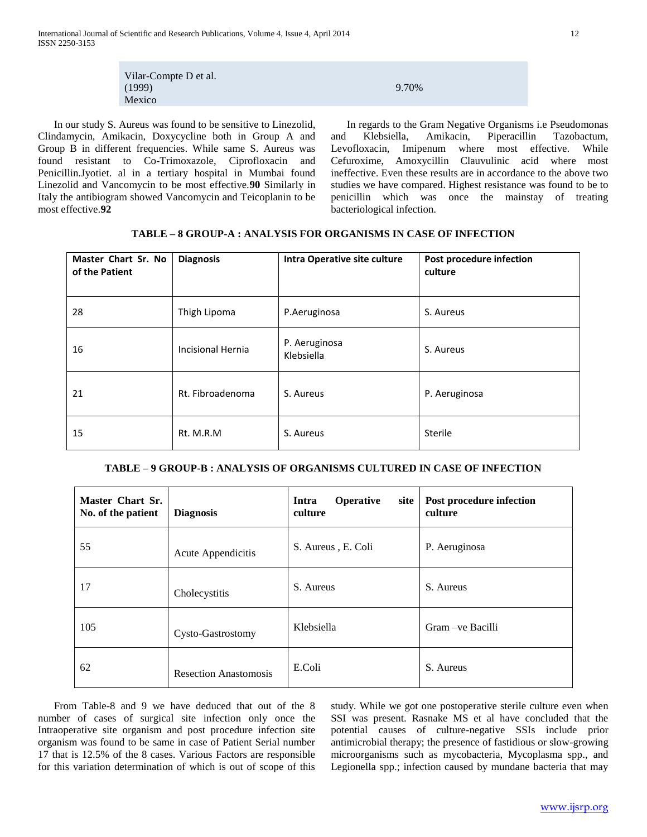| Vilar-Compte D et al. |       |
|-----------------------|-------|
| (1999)                | 9.70% |
| Mexico                |       |

 In our study S. Aureus was found to be sensitive to Linezolid, Clindamycin, Amikacin, Doxycycline both in Group A and Group B in different frequencies. While same S. Aureus was found resistant to Co-Trimoxazole, Ciprofloxacin and Penicillin.Jyotiet. al in a tertiary hospital in Mumbai found Linezolid and Vancomycin to be most effective.**90** Similarly in Italy the antibiogram showed Vancomycin and Teicoplanin to be most effective.**92**

 In regards to the Gram Negative Organisms i.e Pseudomonas and Klebsiella, Amikacin, Piperacillin Tazobactum, Levofloxacin, Imipenum where most effective. While Cefuroxime, Amoxycillin Clauvulinic acid where most ineffective. Even these results are in accordance to the above two studies we have compared. Highest resistance was found to be to penicillin which was once the mainstay of treating bacteriological infection.

| Master Chart Sr. No<br>of the Patient | <b>Diagnosis</b>  | Intra Operative site culture | Post procedure infection<br>culture |
|---------------------------------------|-------------------|------------------------------|-------------------------------------|
| 28                                    | Thigh Lipoma      | P.Aeruginosa                 | S. Aureus                           |
| 16                                    | Incisional Hernia | P. Aeruginosa<br>Klebsiella  | S. Aureus                           |
| 21                                    | Rt. Fibroadenoma  | S. Aureus                    | P. Aeruginosa                       |
| 15                                    | Rt. M.R.M         | S. Aureus                    | Sterile                             |

## **TABLE – 8 GROUP-A : ANALYSIS FOR ORGANISMS IN CASE OF INFECTION**

## **TABLE – 9 GROUP-B : ANALYSIS OF ORGANISMS CULTURED IN CASE OF INFECTION**

| Master Chart Sr.<br>No. of the patient | <b>Diagnosis</b>             | <b>Operative</b><br>Intra<br>site<br>culture | Post procedure infection<br>culture |
|----------------------------------------|------------------------------|----------------------------------------------|-------------------------------------|
| 55                                     | Acute Appendicitis           | S. Aureus, E. Coli                           | P. Aeruginosa                       |
| 17                                     | Cholecystitis                | S. Aureus                                    | S. Aureus                           |
| 105                                    | Cysto-Gastrostomy            | Klebsiella                                   | Gram – ve Bacilli                   |
| 62                                     | <b>Resection Anastomosis</b> | E.Coli                                       | S. Aureus                           |

 From Table-8 and 9 we have deduced that out of the 8 number of cases of surgical site infection only once the Intraoperative site organism and post procedure infection site organism was found to be same in case of Patient Serial number 17 that is 12.5% of the 8 cases. Various Factors are responsible for this variation determination of which is out of scope of this

study. While we got one postoperative sterile culture even when SSI was present. Rasnake MS et al have concluded that the potential causes of culture-negative SSIs include prior antimicrobial therapy; the presence of fastidious or slow-growing microorganisms such as mycobacteria, Mycoplasma spp., and Legionella spp.; infection caused by mundane bacteria that may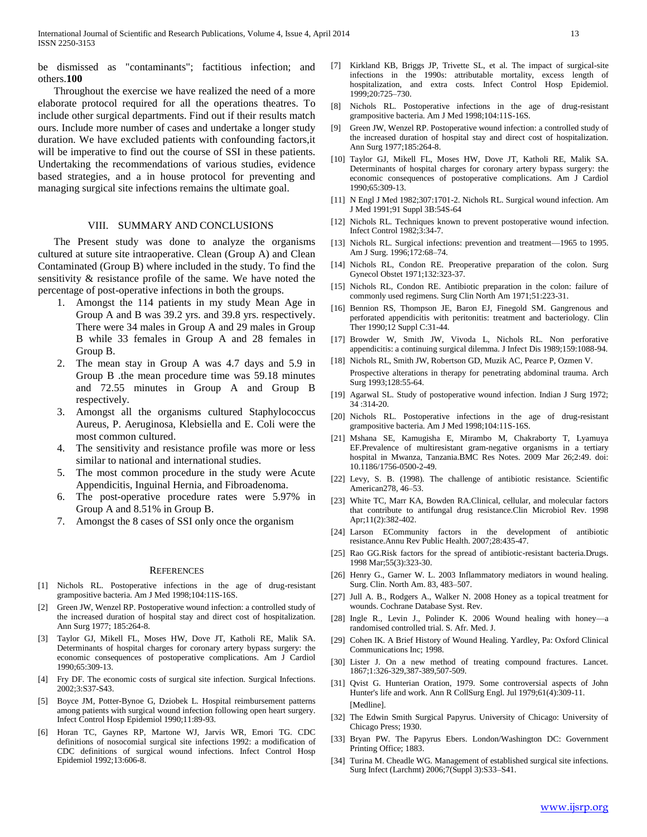be dismissed as "contaminants"; factitious infection; and others.**100**

 Throughout the exercise we have realized the need of a more elaborate protocol required for all the operations theatres. To include other surgical departments. Find out if their results match ours. Include more number of cases and undertake a longer study duration. We have excluded patients with confounding factors,it will be imperative to find out the course of SSI in these patients. Undertaking the recommendations of various studies, evidence based strategies, and a in house protocol for preventing and managing surgical site infections remains the ultimate goal.

#### VIII. SUMMARY AND CONCLUSIONS

 The Present study was done to analyze the organisms cultured at suture site intraoperative. Clean (Group A) and Clean Contaminated (Group B) where included in the study. To find the sensitivity & resistance profile of the same. We have noted the percentage of post-operative infections in both the groups.

- 1. Amongst the 114 patients in my study Mean Age in Group A and B was 39.2 yrs. and 39.8 yrs. respectively. There were 34 males in Group A and 29 males in Group B while 33 females in Group A and 28 females in Group B.
- 2. The mean stay in Group A was 4.7 days and 5.9 in Group B .the mean procedure time was 59.18 minutes and 72.55 minutes in Group A and Group B respectively.
- 3. Amongst all the organisms cultured Staphylococcus Aureus, P. Aeruginosa, Klebsiella and E. Coli were the most common cultured.
- 4. The sensitivity and resistance profile was more or less similar to national and international studies.
- 5. The most common procedure in the study were Acute Appendicitis, Inguinal Hernia, and Fibroadenoma.
- 6. The post-operative procedure rates were 5.97% in Group A and 8.51% in Group B.
- 7. Amongst the 8 cases of SSI only once the organism

#### **REFERENCES**

- [1] Nichols RL. Postoperative infections in the age of drug-resistant grampositive bacteria. Am J Med 1998;104:11S-16S.
- [2] Green JW, Wenzel RP. Postoperative wound infection: a controlled study of the increased duration of hospital stay and direct cost of hospitalization. Ann Surg 1977; 185:264-8.
- [3] Taylor GJ, Mikell FL, Moses HW, Dove JT, Katholi RE, Malik SA. Determinants of hospital charges for coronary artery bypass surgery: the economic consequences of postoperative complications. Am J Cardiol 1990;65:309-13.
- [4] Fry DF. The economic costs of surgical site infection. Surgical Infections. 2002;3:S37-S43.
- [5] Boyce JM, Potter-Bynoe G, Dziobek L. Hospital reimbursement patterns among patients with surgical wound infection following open heart surgery. Infect Control Hosp Epidemiol 1990;11:89-93.
- [6] Horan TC, Gaynes RP, Martone WJ, Jarvis WR, Emori TG. CDC definitions of nosocomial surgical site infections 1992: a modification of CDC definitions of surgical wound infections. Infect Control Hosp Epidemiol 1992;13:606-8.
- [7] Kirkland KB, Briggs JP, Trivette SL, et al. The impact of surgical-site infections in the 1990s: attributable mortality, excess length of hospitalization, and extra costs. Infect Control Hosp Epidemiol. 1999;20:725–730.
- [8] Nichols RL. Postoperative infections in the age of drug-resistant grampositive bacteria. Am J Med 1998;104:11S-16S.
- [9] Green JW, Wenzel RP. Postoperative wound infection: a controlled study of the increased duration of hospital stay and direct cost of hospitalization. Ann Surg 1977;185:264-8.
- [10] Taylor GJ, Mikell FL, Moses HW, Dove JT, Katholi RE, Malik SA. Determinants of hospital charges for coronary artery bypass surgery: the economic consequences of postoperative complications. Am J Cardiol 1990;65:309-13.
- [11] N Engl J Med 1982;307:1701-2. Nichols RL. Surgical wound infection. Am J Med 1991;91 Suppl 3B:54S-64
- [12] Nichols RL. Techniques known to prevent postoperative wound infection. Infect Control 1982;3:34-7.
- [13] Nichols RL. Surgical infections: prevention and treatment—1965 to 1995. Am J Surg. 1996;172:68–74.
- [14] Nichols RL, Condon RE. Preoperative preparation of the colon. Surg Gynecol Obstet 1971;132:323-37.
- [15] Nichols RL, Condon RE. Antibiotic preparation in the colon: failure of commonly used regimens. Surg Clin North Am 1971;51:223-31.
- [16] Bennion RS, Thompson JE, Baron EJ, Finegold SM. Gangrenous and perforated appendicitis with peritonitis: treatment and bacteriology. Clin Ther 1990;12 Suppl C:31-44.
- [17] Browder W, Smith JW, Vivoda L, Nichols RL. Non perforative appendicitis: a continuing surgical dilemma. J Infect Dis 1989;159:1088-94.
- [18] Nichols RL, Smith JW, Robertson GD, Muzik AC, Pearce P, Ozmen V. Prospective alterations in therapy for penetrating abdominal trauma. Arch Surg 1993;128:55-64.
- [19] Agarwal SL. Study of postoperative wound infection. Indian J Surg 1972; 34 :314-20.
- [20] Nichols RL. Postoperative infections in the age of drug-resistant grampositive bacteria. Am J Med 1998;104:11S-16S.
- [21] Mshana SE, Kamugisha E, Mirambo M, Chakraborty T, Lyamuya EF.Prevalence of multiresistant gram-negative organisms in a tertiary hospital in Mwanza, Tanzania.BMC Res Notes. 2009 Mar 26;2:49. doi: 10.1186/1756-0500-2-49.
- [22] Levy, S. B. (1998). The challenge of antibiotic resistance. Scientific American278, 46–53.
- [23] White TC, Marr KA, Bowden RA.Clinical, cellular, and molecular factors that contribute to antifungal drug resistance.Clin Microbiol Rev. 1998 Apr;11(2):382-402.
- [24] Larson ECommunity factors in the development of antibiotic resistance.Annu Rev Public Health. 2007;28:435-47.
- [25] Rao GG.Risk factors for the spread of antibiotic-resistant bacteria.Drugs. 1998 Mar;55(3):323-30.
- [26] Henry G., Garner W. L. 2003 Inflammatory mediators in wound healing. Surg. Clin. North Am. 83, 483–507.
- [27] Jull A. B., Rodgers A., Walker N. 2008 Honey as a topical treatment for wounds. Cochrane Database Syst. Rev.
- [28] Ingle R., Levin J., Polinder K. 2006 Wound healing with honey—a randomised controlled trial. S. Afr. Med. J.
- [29] Cohen IK. A Brief History of Wound Healing. Yardley, Pa: Oxford Clinical Communications Inc; 1998.
- [30] Lister J. On a new method of treating compound fractures. Lancet. 1867;1:326-329,387-389,507-509.
- [31] Qvist G. Hunterian Oration, 1979. Some controversial aspects of John Hunter's life and work. Ann R CollSurg Engl. Jul 1979;61(4):309-11. [Medline].
- [32] The Edwin Smith Surgical Papyrus. University of Chicago: University of Chicago Press; 1930.
- [33] Bryan PW. The Papyrus Ebers. London/Washington DC: Government Printing Office; 1883.
- [34] Turina M. Cheadle WG. Management of established surgical site infections. Surg Infect (Larchmt) 2006;7(Suppl 3):S33–S41.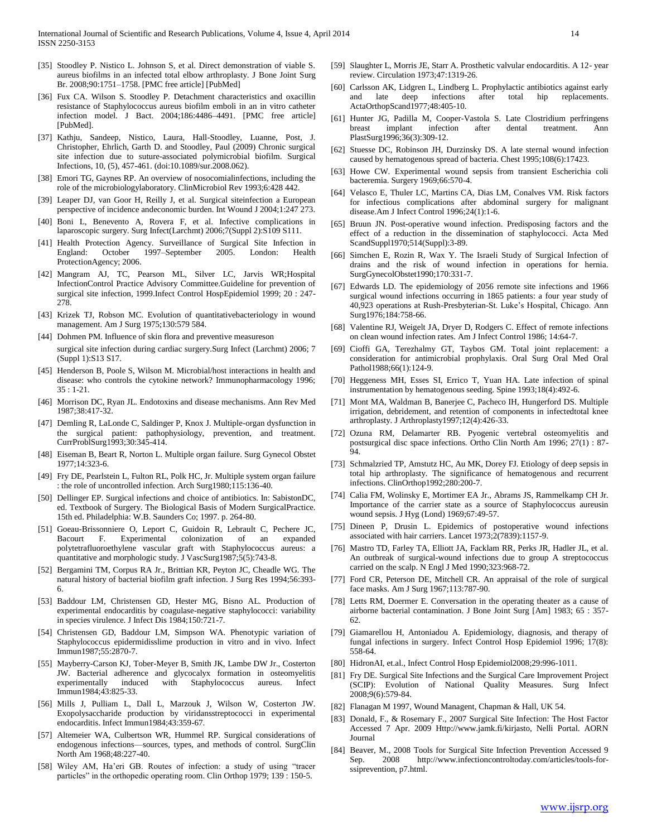- [35] Stoodley P. Nistico L. Johnson S, et al. Direct demonstration of viable S. aureus biofilms in an infected total elbow arthroplasty. J Bone Joint Surg Br. 2008;90:1751–1758. [PMC free article] [PubMed]
- [36] Fux CA. Wilson S. Stoodley P. Detachment characteristics and oxacillin resistance of Staphylococcus aureus biofilm emboli in an in vitro catheter infection model. J Bact. 2004;186:4486–4491. [PMC free article] [PubMed].
- [37] Kathju, Sandeep, Nistico, Laura, Hall-Stoodley, Luanne, Post, J. Christopher, Ehrlich, Garth D. and Stoodley, Paul (2009) Chronic surgical site infection due to suture-associated polymicrobial biofilm. Surgical Infections, 10, (5), 457-461. (doi:10.1089/sur.2008.062).
- [38] Emori TG, Gaynes RP. An overview of nosocomial infections, including the role of the microbiologylaboratory. ClinMicrobiol Rev 1993;6:428 442.
- [39] Leaper DJ, van Goor H, Reilly J, et al. Surgical siteinfection a European perspective of incidence andeconomic burden. Int Wound J 2004;1:247 273.
- [40] Boni L, Benevento A, Rovera F, et al. Infective complications in laparoscopic surgery. Surg Infect(Larchmt) 2006;7(Suppl 2):S109 S111.
- [41] Health Protection Agency. Surveillance of Surgical Site Infection in England: October 1997–September 2005. London: Health ProtectionAgency; 2006.
- [42] Mangram AJ, TC, Pearson ML, Silver LC, Jarvis WR;Hospital InfectionControl Practice Advisory Committee.Guideline for prevention of surgical site infection, 1999.Infect Control HospEpidemiol 1999; 20 : 247- 278.
- [43] Krizek TJ, Robson MC. Evolution of quantitativebacteriology in wound management. Am J Surg 1975;130:579 584.
- [44] Dohmen PM. Influence of skin flora and preventive measureson surgical site infection during cardiac surgery.Surg Infect (Larchmt) 2006; 7 (Suppl 1):S13 S17.
- [45] Henderson B, Poole S, Wilson M. Microbial/host interactions in health and disease: who controls the cytokine network? Immunopharmacology 1996; 35 : 1-21.
- [46] Morrison DC, Ryan JL. Endotoxins and disease mechanisms. Ann Rev Med 1987;38:417-32.
- [47] Demling R, LaLonde C, Saldinger P, Knox J. Multiple-organ dysfunction in the surgical patient: pathophysiology, prevention, and treatment. CurrProblSurg1993;30:345-414.
- [48] Eiseman B, Beart R, Norton L. Multiple organ failure. Surg Gynecol Obstet 1977;14:323-6.
- [49] Fry DE, Pearlstein L, Fulton RL, Polk HC, Jr. Multiple system organ failure : the role of uncontrolled infection. Arch Surg1980;115:136-40.
- [50] Dellinger EP. Surgical infections and choice of antibiotics. In: SabistonDC, ed. Textbook of Surgery. The Biological Basis of Modern SurgicalPractice. 15th ed. Philadelphia: W.B. Saunders Co; 1997. p. 264-80.
- [51] Goeau-Brissonniere O, Leport C, Guidoin R, Lebrault C, Pechere JC, Bacourt F. Experimental colonization of an expanded polytetrafluoroethylene vascular graft with Staphylococcus aureus: a quantitative and morphologic study. J VascSurg1987;5(5):743-8.
- [52] Bergamini TM, Corpus RA Jr., Brittian KR, Peyton JC, Cheadle WG. The natural history of bacterial biofilm graft infection. J Surg Res 1994;56:393- 6.
- [53] Baddour LM, Christensen GD, Hester MG, Bisno AL. Production of experimental endocarditis by coagulase-negative staphylococci: variability in species virulence. J Infect Dis 1984;150:721-7.
- [54] Christensen GD, Baddour LM, Simpson WA. Phenotypic variation of Staphylococcus epidermidisslime production in vitro and in vivo. Infect Immun1987;55:2870-7.
- [55] Mayberry-Carson KJ, Tober-Meyer B, Smith JK, Lambe DW Jr., Costerton JW. Bacterial adherence and glycocalyx formation in osteomyelitis experimentally induced with Staphylococcus aureus. Infect Immun1984;43:825-33.
- [56] Mills J, Pulliam L, Dall L, Marzouk J, Wilson W, Costerton JW. Exopolysaccharide production by viridansstreptococci in experimental endocarditis. Infect Immun1984;43:359-67.
- [57] Altemeier WA, Culbertson WR, Hummel RP. Surgical considerations of endogenous infections—sources, types, and methods of control. SurgClin North Am 1968;48:227-40.
- [58] Wiley AM, Ha'eri GB. Routes of infection: a study of using "tracer particles" in the orthopedic operating room. Clin Orthop 1979; 139 : 150-5.
- [59] Slaughter L, Morris JE, Starr A. Prosthetic valvular endocarditis. A 12- year review. Circulation 1973;47:1319-26.
- [60] Carlsson AK, Lidgren L, Lindberg L. Prophylactic antibiotics against early and late deep infections after total hip replacements. ActaOrthopScand1977;48:405-10.
- [61] Hunter JG, Padilla M, Cooper-Vastola S. Late Clostridium perfringens breast implant infection after dental treatment. Ann PlastSurg1996;36(3):309-12.
- [62] Stuesse DC, Robinson JH, Durzinsky DS. A late sternal wound infection caused by hematogenous spread of bacteria. Chest 1995;108(6):17423.
- [63] Howe CW. Experimental wound sepsis from transient Escherichia coli bacteremia. Surgery 1969;66:570-4.
- [64] Velasco E, Thuler LC, Martins CA, Dias LM, Conalves VM. Risk factors for infectious complications after abdominal surgery for malignant disease.Am J Infect Control 1996;24(1):1-6.
- [65] Bruun JN. Post-operative wound infection. Predisposing factors and the effect of a reduction in the dissemination of staphylococci. Acta Med ScandSuppl1970;514(Suppl):3-89.
- [66] Simchen E, Rozin R, Wax Y. The Israeli Study of Surgical Infection of drains and the risk of wound infection in operations for hernia. SurgGynecolObstet1990;170:331-7.
- [67] Edwards LD. The epidemiology of 2056 remote site infections and 1966 surgical wound infections occurring in 1865 patients: a four year study of 40,923 operations at Rush-Presbyterian-St. Luke's Hospital, Chicago. Ann Surg1976;184:758-66.
- [68] Valentine RJ, Weigelt JA, Dryer D, Rodgers C. Effect of remote infections on clean wound infection rates. Am J Infect Control 1986; 14:64-7.
- [69] Cioffi GA, Terezhalmy GT, Taybos GM. Total joint replacement: a consideration for antimicrobial prophylaxis. Oral Surg Oral Med Oral Pathol1988;66(1):124-9.
- [70] Heggeness MH, Esses SI, Errico T, Yuan HA. Late infection of spinal instrumentation by hematogenous seeding. Spine 1993;18(4):492-6.
- [71] Mont MA, Waldman B, Banerjee C, Pacheco IH, Hungerford DS. Multiple irrigation, debridement, and retention of components in infectedtotal knee arthroplasty. J Arthroplasty1997;12(4):426-33.
- [72] Ozuna RM, Delamarter RB. Pyogenic vertebral osteomyelitis and postsurgical disc space infections. Ortho Clin North Am 1996; 27(1) : 87- 94.
- [73] Schmalzried TP, Amstutz HC, Au MK, Dorey FJ. Etiology of deep sepsis in total hip arthroplasty. The significance of hematogenous and recurrent infections. ClinOrthop1992;280:200-7.
- [74] Calia FM, Wolinsky E, Mortimer EA Jr., Abrams JS, Rammelkamp CH Jr. Importance of the carrier state as a source of Staphylococcus aureusin wound sepsis. J Hyg (Lond) 1969;67:49-57.
- [75] Dineen P, Drusin L. Epidemics of postoperative wound infections associated with hair carriers. Lancet 1973;2(7839):1157-9.
- [76] Mastro TD, Farley TA, Elliott JA, Facklam RR, Perks JR, Hadler JL, et al. An outbreak of surgical-wound infections due to group A streptococcus carried on the scalp. N Engl J Med 1990;323:968-72.
- [77] Ford CR, Peterson DE, Mitchell CR. An appraisal of the role of surgical face masks. Am J Surg 1967;113:787-90.
- [78] Letts RM, Doermer E. Conversation in the operating theater as a cause of airborne bacterial contamination. J Bone Joint Surg [Am] 1983; 65 : 357- 62.
- [79] Giamarellou H, Antoniadou A. Epidemiology, diagnosis, and therapy of fungal infections in surgery. Infect Control Hosp Epidemiol 1996; 17(8): 558-64.
- [80] HidronAI, et.al., Infect Control Hosp Epidemiol2008;29:996-1011.
- [81] Fry DE. Surgical Site Infections and the Surgical Care Improvement Project (SCIP): Evolution of National Quality Measures. Surg Infect 2008;9(6):579-84.
- [82] Flanagan M 1997, Wound Managent, Chapman & Hall, UK 54.
- [83] Donald, F., & Rosemary F., 2007 Surgical Site Infection: The Host Factor Accessed 7 Apr. 2009 Http://www.jamk.fi/kirjasto, Nelli Portal. AORN Journal
- [84] Beaver, M., 2008 Tools for Surgical Site Infection Prevention Accessed 9 Sep. 2008 http://www.infectioncontroltoday.com/articles/tools-forssiprevention, p7.html.